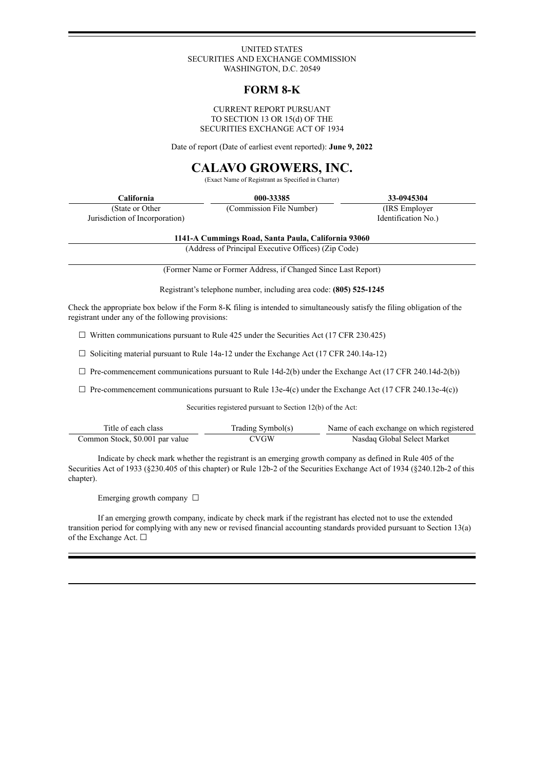#### UNITED STATES SECURITIES AND EXCHANGE COMMISSION WASHINGTON, D.C. 20549

# **FORM 8-K**

#### CURRENT REPORT PURSUANT TO SECTION 13 OR 15(d) OF THE SECURITIES EXCHANGE ACT OF 1934

Date of report (Date of earliest event reported): **June 9, 2022**

# **CALAVO GROWERS, INC.**

(Exact Name of Registrant as Specified in Charter)

| California                                         | 000-33385                | 33-0945304                            |  |
|----------------------------------------------------|--------------------------|---------------------------------------|--|
| (State or Other)<br>Jurisdiction of Incorporation) | (Commission File Number) | (IRS Employer)<br>Identification No.) |  |

**1141-A Cummings Road, Santa Paula, California 93060**

(Address of Principal Executive Offices) (Zip Code)

(Former Name or Former Address, if Changed Since Last Report)

Registrant's telephone number, including area code: **(805) 525-1245**

Check the appropriate box below if the Form 8-K filing is intended to simultaneously satisfy the filing obligation of the registrant under any of the following provisions:

 $\Box$  Written communications pursuant to Rule 425 under the Securities Act (17 CFR 230.425)

☐ Soliciting material pursuant to Rule 14a-12 under the Exchange Act (17 CFR 240.14a-12)

 $\Box$  Pre-commencement communications pursuant to Rule 14d-2(b) under the Exchange Act (17 CFR 240.14d-2(b))

 $\Box$  Pre-commencement communications pursuant to Rule 13e-4(c) under the Exchange Act (17 CFR 240.13e-4(c))

Securities registered pursuant to Section 12(b) of the Act:

| Title of each class             | Trading Symbol(s) | Name of each exchange on which registered |
|---------------------------------|-------------------|-------------------------------------------|
| Common Stock, \$0.001 par value | <b>CVGW</b>       | Nasdaq Global Select Market               |

Indicate by check mark whether the registrant is an emerging growth company as defined in Rule 405 of the Securities Act of 1933 (§230.405 of this chapter) or Rule 12b-2 of the Securities Exchange Act of 1934 (§240.12b-2 of this chapter).

Emerging growth company  $\Box$ 

If an emerging growth company, indicate by check mark if the registrant has elected not to use the extended transition period for complying with any new or revised financial accounting standards provided pursuant to Section 13(a) of the Exchange Act. □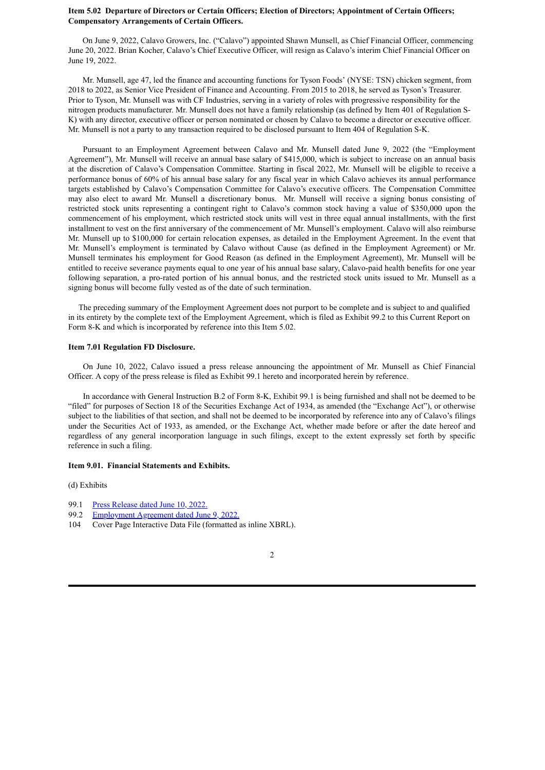#### **Item 5.02 Departure of Directors or Certain Officers; Election of Directors; Appointment of Certain Officers; Compensatory Arrangements of Certain Officers.**

On June 9, 2022, Calavo Growers, Inc. ("Calavo") appointed Shawn Munsell, as Chief Financial Officer, commencing June 20, 2022. Brian Kocher, Calavo's Chief Executive Officer, will resign as Calavo's interim Chief Financial Officer on June 19, 2022.

Mr. Munsell, age 47, led the finance and accounting functions for Tyson Foods' (NYSE: TSN) chicken segment, from 2018 to 2022, as Senior Vice President of Finance and Accounting. From 2015 to 2018, he served as Tyson's Treasurer. Prior to Tyson, Mr. Munsell was with CF Industries, serving in a variety of roles with progressive responsibility for the nitrogen products manufacturer. Mr. Munsell does not have a family relationship (as defined by Item 401 of Regulation S-K) with any director, executive officer or person nominated or chosen by Calavo to become a director or executive officer. Mr. Munsell is not a party to any transaction required to be disclosed pursuant to Item 404 of Regulation S-K.

Pursuant to an Employment Agreement between Calavo and Mr. Munsell dated June 9, 2022 (the "Employment Agreement"), Mr. Munsell will receive an annual base salary of \$415,000, which is subject to increase on an annual basis at the discretion of Calavo's Compensation Committee. Starting in fiscal 2022, Mr. Munsell will be eligible to receive a performance bonus of 60% of his annual base salary for any fiscal year in which Calavo achieves its annual performance targets established by Calavo's Compensation Committee for Calavo's executive officers. The Compensation Committee may also elect to award Mr. Munsell a discretionary bonus. Mr. Munsell will receive a signing bonus consisting of restricted stock units representing a contingent right to Calavo's common stock having a value of \$350,000 upon the commencement of his employment, which restricted stock units will vest in three equal annual installments, with the first installment to vest on the first anniversary of the commencement of Mr. Munsell's employment. Calavo will also reimburse Mr. Munsell up to \$100,000 for certain relocation expenses, as detailed in the Employment Agreement. In the event that Mr. Munsell's employment is terminated by Calavo without Cause (as defined in the Employment Agreement) or Mr. Munsell terminates his employment for Good Reason (as defined in the Employment Agreement), Mr. Munsell will be entitled to receive severance payments equal to one year of his annual base salary, Calavo-paid health benefits for one year following separation, a pro-rated portion of his annual bonus, and the restricted stock units issued to Mr. Munsell as a signing bonus will become fully vested as of the date of such termination.

The preceding summary of the Employment Agreement does not purport to be complete and is subject to and qualified in its entirety by the complete text of the Employment Agreement, which is filed as Exhibit 99.2 to this Current Report on Form 8-K and which is incorporated by reference into this Item 5.02.

#### **Item 7.01 Regulation FD Disclosure.**

On June 10, 2022, Calavo issued a press release announcing the appointment of Mr. Munsell as Chief Financial Officer. A copy of the press release is filed as Exhibit 99.1 hereto and incorporated herein by reference.

In accordance with General Instruction B.2 of Form 8-K, Exhibit 99.1 is being furnished and shall not be deemed to be "filed" for purposes of Section 18 of the Securities Exchange Act of 1934, as amended (the "Exchange Act"), or otherwise subject to the liabilities of that section, and shall not be deemed to be incorporated by reference into any of Calavo's filings under the Securities Act of 1933, as amended, or the Exchange Act, whether made before or after the date hereof and regardless of any general incorporation language in such filings, except to the extent expressly set forth by specific reference in such a filing.

#### **Item 9.01. Financial Statements and Exhibits.**

(d) Exhibits

- 99.1 Press [Release](#page-3-0) dated June 10, 2022.
- 99.2 [Employment](#page-5-0) Agreement dated June 9, 2022.
- 104 Cover Page Interactive Data File (formatted as inline XBRL).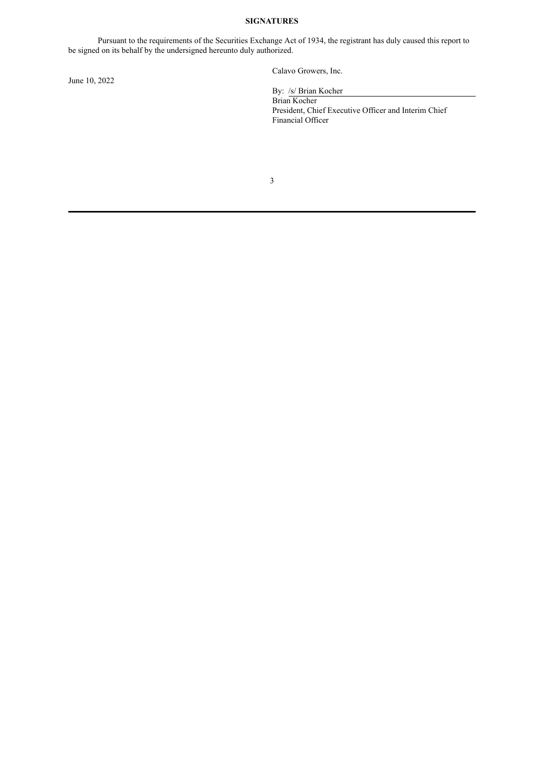#### **SIGNATURES**

Pursuant to the requirements of the Securities Exchange Act of 1934, the registrant has duly caused this report to be signed on its behalf by the undersigned hereunto duly authorized.

June 10, 2022

Calavo Growers, Inc.

By: /s/ Brian Kocher

Brian Kocher President, Chief Executive Officer and Interim Chief Financial Officer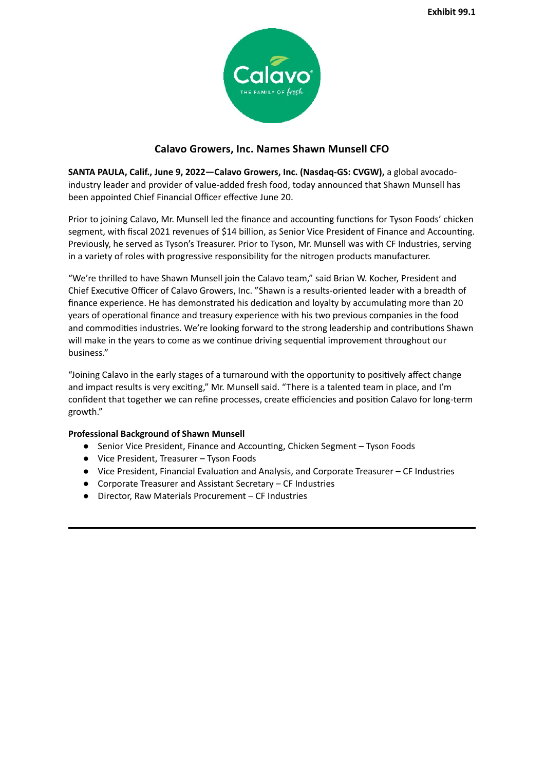

# **Calavo Growers, Inc. Names Shawn Munsell CFO**

<span id="page-3-0"></span>**SANTA PAULA, Calif., June 9, 2022—Calavo Growers, Inc. (Nasdaq-GS: CVGW),** a global avocadoindustry leader and provider of value-added fresh food, today announced that Shawn Munsell has been appointed Chief Financial Officer effective June 20.

Prior to joining Calavo, Mr. Munsell led the finance and accounting functions for Tyson Foods' chicken segment, with fiscal 2021 revenues of \$14 billion, as Senior Vice President of Finance and Accounting. Previously, he served as Tyson's Treasurer. Prior to Tyson, Mr. Munsell was with CF Industries, serving in a variety of roles with progressive responsibility for the nitrogen products manufacturer.

"We're thrilled to have Shawn Munsell join the Calavo team," said Brian W. Kocher, President and Chief Executive Officer of Calavo Growers, Inc. "Shawn is a results-oriented leader with a breadth of finance experience. He has demonstrated his dedication and loyalty by accumulating more than 20 years of operational finance and treasury experience with his two previous companies in the food and commodities industries. We're looking forward to the strong leadership and contributions Shawn will make in the years to come as we continue driving sequential improvement throughout our business."

"Joining Calavo in the early stages of a turnaround with the opportunity to positively affect change and impact results is very exciting," Mr. Munsell said. "There is a talented team in place, and I'm confident that together we can refine processes, create efficiencies and position Calavo for long-term growth."

## **Professional Background of Shawn Munsell**

- Senior Vice President, Finance and Accounting, Chicken Segment Tyson Foods
- Vice President, Treasurer Tyson Foods
- Vice President, Financial Evaluation and Analysis, and Corporate Treasurer CF Industries
- Corporate Treasurer and Assistant Secretary CF Industries
- Director, Raw Materials Procurement CF Industries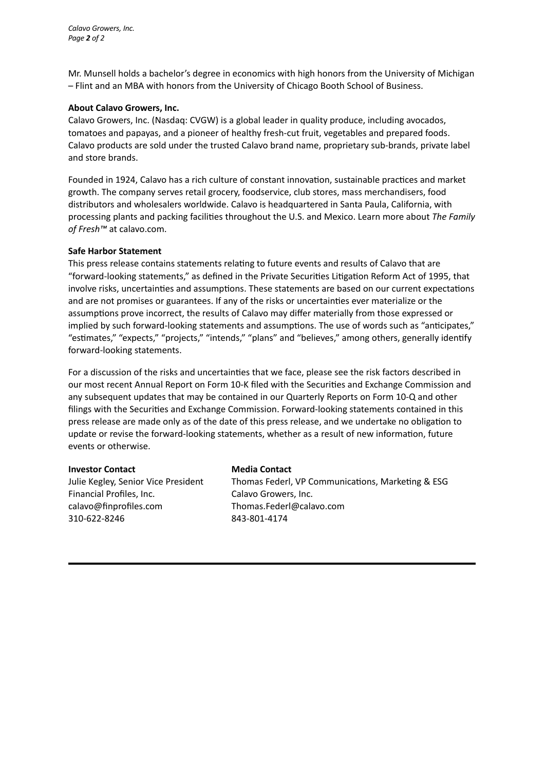*Calavo Growers, Inc. Page 2 of 2*

Mr. Munsell holds a bachelor's degree in economics with high honors from the University of Michigan – Flint and an MBA with honors from the University of Chicago Booth School of Business.

## **About Calavo Growers, Inc.**

Calavo Growers, Inc. (Nasdaq: CVGW) is a global leader in quality produce, including avocados, tomatoes and papayas, and a pioneer of healthy fresh-cut fruit, vegetables and prepared foods. Calavo products are sold under the trusted Calavo brand name, proprietary sub-brands, private label and store brands.

Founded in 1924, Calavo has a rich culture of constant innovation, sustainable practices and market growth. The company serves retail grocery, foodservice, club stores, mass merchandisers, food distributors and wholesalers worldwide. Calavo is headquartered in Santa Paula, California, with processing plants and packing facilities throughout the U.S. and Mexico. Learn more about *The Family of Fresh™* at calavo.com.

## **Safe Harbor Statement**

This press release contains statements relating to future events and results of Calavo that are "forward-looking statements," as defined in the Private Securities Litigation Reform Act of 1995, that involve risks, uncertainties and assumptions. These statements are based on our current expectations and are not promises or guarantees. If any of the risks or uncertainties ever materialize or the assumptions prove incorrect, the results of Calavo may differ materially from those expressed or implied by such forward-looking statements and assumptions. The use of words such as "anticipates," "estimates," "expects," "projects," "intends," "plans" and "believes," among others, generally identify forward-looking statements.

For a discussion of the risks and uncertainties that we face, please see the risk factors described in our most recent Annual Report on Form 10-K filed with the Securities and Exchange Commission and any subsequent updates that may be contained in our Quarterly Reports on Form 10-Q and other filings with the Securities and Exchange Commission. Forward-looking statements contained in this press release are made only as of the date of this press release, and we undertake no obligation to update or revise the forward-looking statements, whether as a result of new information, future events or otherwise.

#### **Investor Contact Media Contact**

Financial Profiles, Inc. Calavo Growers, Inc. calavo@finprofiles.com Thomas.Federl@calavo.com 310-622-8246 843-801-4174

Julie Kegley, Senior Vice President Thomas Federl, VP Communications, Marketing & ESG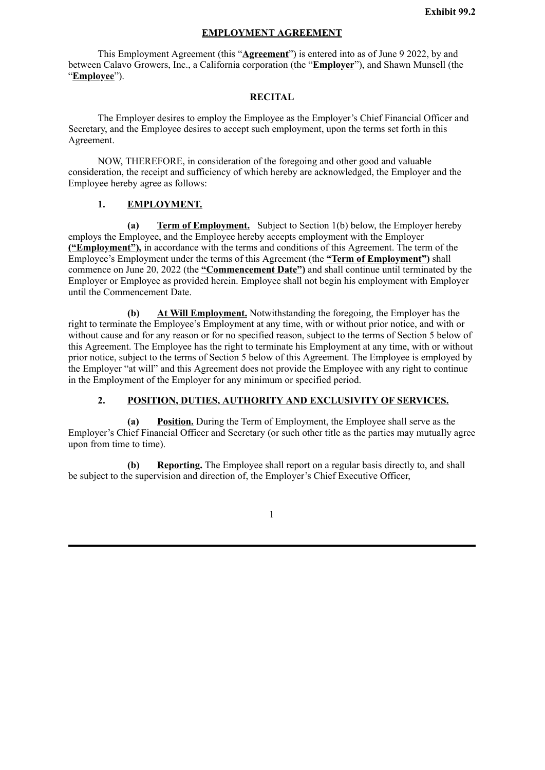## **EMPLOYMENT AGREEMENT**

<span id="page-5-0"></span>This Employment Agreement (this "**Agreement**") is entered into as of June 9 2022, by and between Calavo Growers, Inc., a California corporation (the "**Employer**"), and Shawn Munsell (the "**Employee**").

## **RECITAL**

The Employer desires to employ the Employee as the Employer's Chief Financial Officer and Secretary, and the Employee desires to accept such employment, upon the terms set forth in this Agreement.

NOW, THEREFORE, in consideration of the foregoing and other good and valuable consideration, the receipt and sufficiency of which hereby are acknowledged, the Employer and the Employee hereby agree as follows:

## **1. EMPLOYMENT.**

**(a) Term of Employment.** Subject to Section 1(b) below, the Employer hereby employs the Employee, and the Employee hereby accepts employment with the Employer **("Employment"),** in accordance with the terms and conditions of this Agreement. The term of the Employee's Employment under the terms of this Agreement (the **"Term of Employment")** shall commence on June 20, 2022 (the **"Commencement Date")** and shall continue until terminated by the Employer or Employee as provided herein. Employee shall not begin his employment with Employer until the Commencement Date.

**(b) At Will Employment.** Notwithstanding the foregoing, the Employer has the right to terminate the Employee's Employment at any time, with or without prior notice, and with or without cause and for any reason or for no specified reason, subject to the terms of Section 5 below of this Agreement. The Employee has the right to terminate his Employment at any time, with or without prior notice, subject to the terms of Section 5 below of this Agreement. The Employee is employed by the Employer "at will" and this Agreement does not provide the Employee with any right to continue in the Employment of the Employer for any minimum or specified period.

# **2. POSITION, DUTIES, AUTHORITY AND EXCLUSIVITY OF SERVICES.**

**(a) Position.** During the Term of Employment, the Employee shall serve as the Employer's Chief Financial Officer and Secretary (or such other title as the parties may mutually agree upon from time to time).

**(b) Reporting.** The Employee shall report on a regular basis directly to, and shall be subject to the supervision and direction of, the Employer's Chief Executive Officer,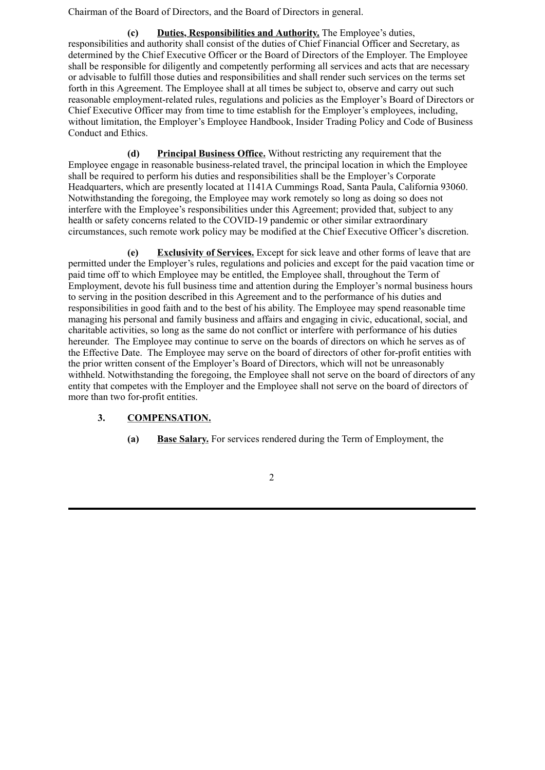Chairman of the Board of Directors, and the Board of Directors in general.

**(c) Duties, Responsibilities and Authority.** The Employee's duties, responsibilities and authority shall consist of the duties of Chief Financial Officer and Secretary, as determined by the Chief Executive Officer or the Board of Directors of the Employer. The Employee shall be responsible for diligently and competently performing all services and acts that are necessary or advisable to fulfill those duties and responsibilities and shall render such services on the terms set forth in this Agreement. The Employee shall at all times be subject to, observe and carry out such reasonable employment-related rules, regulations and policies as the Employer's Board of Directors or Chief Executive Officer may from time to time establish for the Employer's employees, including, without limitation, the Employer's Employee Handbook, Insider Trading Policy and Code of Business Conduct and Ethics.

**(d) Principal Business Office.** Without restricting any requirement that the Employee engage in reasonable business-related travel, the principal location in which the Employee shall be required to perform his duties and responsibilities shall be the Employer's Corporate Headquarters, which are presently located at 1141A Cummings Road, Santa Paula, California 93060. Notwithstanding the foregoing, the Employee may work remotely so long as doing so does not interfere with the Employee's responsibilities under this Agreement; provided that, subject to any health or safety concerns related to the COVID-19 pandemic or other similar extraordinary circumstances, such remote work policy may be modified at the Chief Executive Officer's discretion.

**(e) Exclusivity of Services.** Except for sick leave and other forms of leave that are permitted under the Employer's rules, regulations and policies and except for the paid vacation time or paid time off to which Employee may be entitled, the Employee shall, throughout the Term of Employment, devote his full business time and attention during the Employer's normal business hours to serving in the position described in this Agreement and to the performance of his duties and responsibilities in good faith and to the best of his ability. The Employee may spend reasonable time managing his personal and family business and affairs and engaging in civic, educational, social, and charitable activities, so long as the same do not conflict or interfere with performance of his duties hereunder. The Employee may continue to serve on the boards of directors on which he serves as of the Effective Date. The Employee may serve on the board of directors of other for-profit entities with the prior written consent of the Employer's Board of Directors, which will not be unreasonably withheld. Notwithstanding the foregoing, the Employee shall not serve on the board of directors of any entity that competes with the Employer and the Employee shall not serve on the board of directors of more than two for-profit entities.

# **3. COMPENSATION.**

**(a) Base Salary.** For services rendered during the Term of Employment, the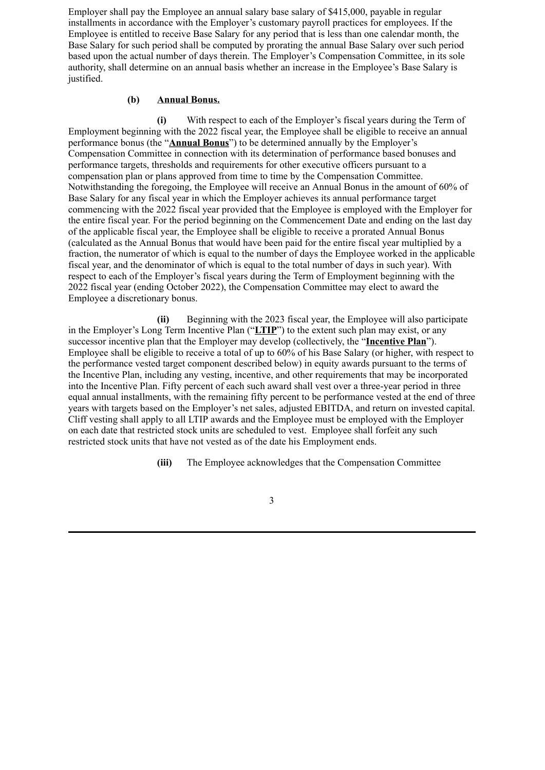Employer shall pay the Employee an annual salary base salary of \$415,000, payable in regular installments in accordance with the Employer's customary payroll practices for employees. If the Employee is entitled to receive Base Salary for any period that is less than one calendar month, the Base Salary for such period shall be computed by prorating the annual Base Salary over such period based upon the actual number of days therein. The Employer's Compensation Committee, in its sole authority, shall determine on an annual basis whether an increase in the Employee's Base Salary is justified.

# **(b) Annual Bonus.**

**(i)** With respect to each of the Employer's fiscal years during the Term of Employment beginning with the 2022 fiscal year, the Employee shall be eligible to receive an annual performance bonus (the "**Annual Bonus**") to be determined annually by the Employer's Compensation Committee in connection with its determination of performance based bonuses and performance targets, thresholds and requirements for other executive officers pursuant to a compensation plan or plans approved from time to time by the Compensation Committee. Notwithstanding the foregoing, the Employee will receive an Annual Bonus in the amount of 60% of Base Salary for any fiscal year in which the Employer achieves its annual performance target commencing with the 2022 fiscal year provided that the Employee is employed with the Employer for the entire fiscal year. For the period beginning on the Commencement Date and ending on the last day of the applicable fiscal year, the Employee shall be eligible to receive a prorated Annual Bonus (calculated as the Annual Bonus that would have been paid for the entire fiscal year multiplied by a fraction, the numerator of which is equal to the number of days the Employee worked in the applicable fiscal year, and the denominator of which is equal to the total number of days in such year). With respect to each of the Employer's fiscal years during the Term of Employment beginning with the 2022 fiscal year (ending October 2022), the Compensation Committee may elect to award the Employee a discretionary bonus.

**(ii)** Beginning with the 2023 fiscal year, the Employee will also participate in the Employer's Long Term Incentive Plan ("**LTIP**") to the extent such plan may exist, or any successor incentive plan that the Employer may develop (collectively, the "**Incentive Plan**"). Employee shall be eligible to receive a total of up to 60% of his Base Salary (or higher, with respect to the performance vested target component described below) in equity awards pursuant to the terms of the Incentive Plan, including any vesting, incentive, and other requirements that may be incorporated into the Incentive Plan. Fifty percent of each such award shall vest over a three-year period in three equal annual installments, with the remaining fifty percent to be performance vested at the end of three years with targets based on the Employer's net sales, adjusted EBITDA, and return on invested capital. Cliff vesting shall apply to all LTIP awards and the Employee must be employed with the Employer on each date that restricted stock units are scheduled to vest. Employee shall forfeit any such restricted stock units that have not vested as of the date his Employment ends.

**(iii)** The Employee acknowledges that the Compensation Committee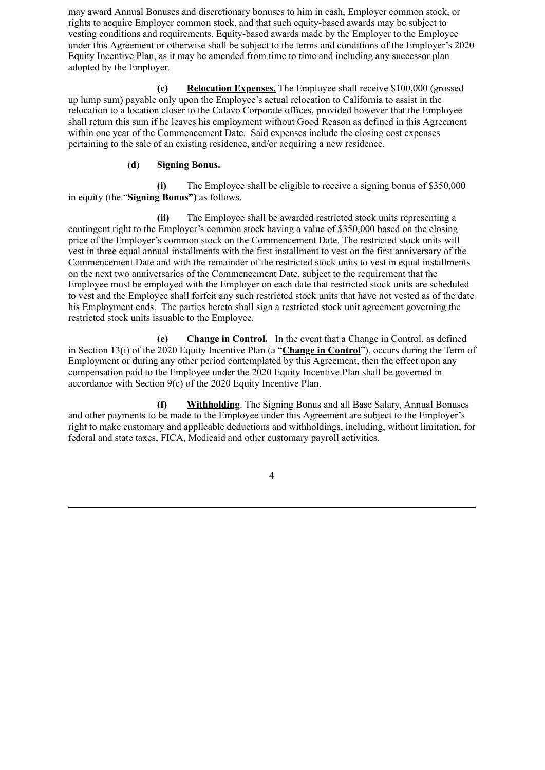may award Annual Bonuses and discretionary bonuses to him in cash, Employer common stock, or rights to acquire Employer common stock, and that such equity-based awards may be subject to vesting conditions and requirements. Equity-based awards made by the Employer to the Employee under this Agreement or otherwise shall be subject to the terms and conditions of the Employer's 2020 Equity Incentive Plan, as it may be amended from time to time and including any successor plan adopted by the Employer.

**(c) Relocation Expenses.** The Employee shall receive \$100,000 (grossed up lump sum) payable only upon the Employee's actual relocation to California to assist in the relocation to a location closer to the Calavo Corporate offices, provided however that the Employee shall return this sum if he leaves his employment without Good Reason as defined in this Agreement within one year of the Commencement Date. Said expenses include the closing cost expenses pertaining to the sale of an existing residence, and/or acquiring a new residence.

# **(d) Signing Bonus.**

**(i)** The Employee shall be eligible to receive a signing bonus of \$350,000 in equity (the "**Signing Bonus")** as follows.

**(ii)** The Employee shall be awarded restricted stock units representing a contingent right to the Employer's common stock having a value of \$350,000 based on the closing price of the Employer's common stock on the Commencement Date. The restricted stock units will vest in three equal annual installments with the first installment to vest on the first anniversary of the Commencement Date and with the remainder of the restricted stock units to vest in equal installments on the next two anniversaries of the Commencement Date, subject to the requirement that the Employee must be employed with the Employer on each date that restricted stock units are scheduled to vest and the Employee shall forfeit any such restricted stock units that have not vested as of the date his Employment ends. The parties hereto shall sign a restricted stock unit agreement governing the restricted stock units issuable to the Employee.

**(e) Change in Control.** In the event that a Change in Control, as defined in Section 13(i) of the 2020 Equity Incentive Plan (a "**Change in Control**"), occurs during the Term of Employment or during any other period contemplated by this Agreement, then the effect upon any compensation paid to the Employee under the 2020 Equity Incentive Plan shall be governed in accordance with Section 9(c) of the 2020 Equity Incentive Plan.

**(f) Withholding**. The Signing Bonus and all Base Salary, Annual Bonuses and other payments to be made to the Employee under this Agreement are subject to the Employer's right to make customary and applicable deductions and withholdings, including, without limitation, for federal and state taxes, FICA, Medicaid and other customary payroll activities.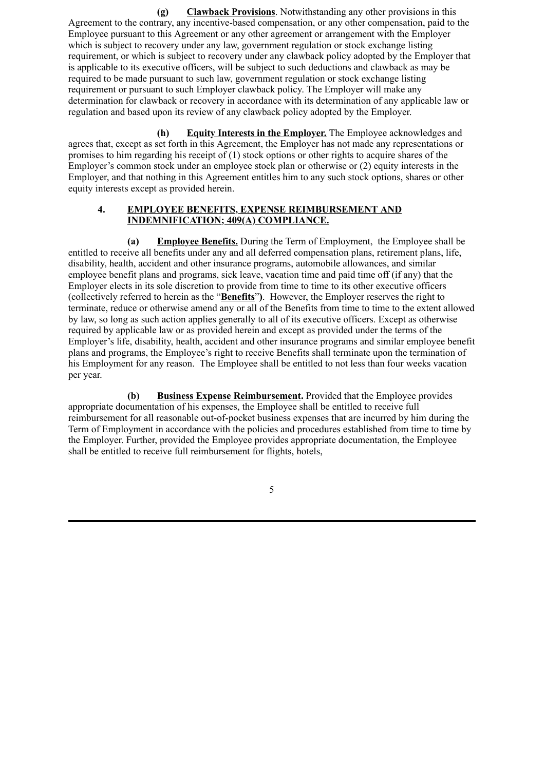**(g) Clawback Provisions**. Notwithstanding any other provisions in this Agreement to the contrary, any incentive-based compensation, or any other compensation, paid to the Employee pursuant to this Agreement or any other agreement or arrangement with the Employer which is subject to recovery under any law, government regulation or stock exchange listing requirement, or which is subject to recovery under any clawback policy adopted by the Employer that is applicable to its executive officers, will be subject to such deductions and clawback as may be required to be made pursuant to such law, government regulation or stock exchange listing requirement or pursuant to such Employer clawback policy. The Employer will make any determination for clawback or recovery in accordance with its determination of any applicable law or regulation and based upon its review of any clawback policy adopted by the Employer.

**(h) Equity Interests in the Employer.** The Employee acknowledges and agrees that, except as set forth in this Agreement, the Employer has not made any representations or promises to him regarding his receipt of (1) stock options or other rights to acquire shares of the Employer's common stock under an employee stock plan or otherwise or (2) equity interests in the Employer, and that nothing in this Agreement entitles him to any such stock options, shares or other equity interests except as provided herein.

## **4. EMPLOYEE BENEFITS, EXPENSE REIMBURSEMENT AND INDEMNIFICATION; 409(A) COMPLIANCE.**

**(a) Employee Benefits.** During the Term of Employment, the Employee shall be entitled to receive all benefits under any and all deferred compensation plans, retirement plans, life, disability, health, accident and other insurance programs, automobile allowances, and similar employee benefit plans and programs, sick leave, vacation time and paid time off (if any) that the Employer elects in its sole discretion to provide from time to time to its other executive officers (collectively referred to herein as the "**Benefits**"**)**.However, the Employer reserves the right to terminate, reduce or otherwise amend any or all of the Benefits from time to time to the extent allowed by law, so long as such action applies generally to all of its executive officers. Except as otherwise required by applicable law or as provided herein and except as provided under the terms of the Employer's life, disability, health, accident and other insurance programs and similar employee benefit plans and programs, the Employee's right to receive Benefits shall terminate upon the termination of his Employment for any reason. The Employee shall be entitled to not less than four weeks vacation per year.

**(b) Business Expense Reimbursement.** Provided that the Employee provides appropriate documentation of his expenses, the Employee shall be entitled to receive full reimbursement for all reasonable out-of-pocket business expenses that are incurred by him during the Term of Employment in accordance with the policies and procedures established from time to time by the Employer. Further, provided the Employee provides appropriate documentation, the Employee shall be entitled to receive full reimbursement for flights, hotels,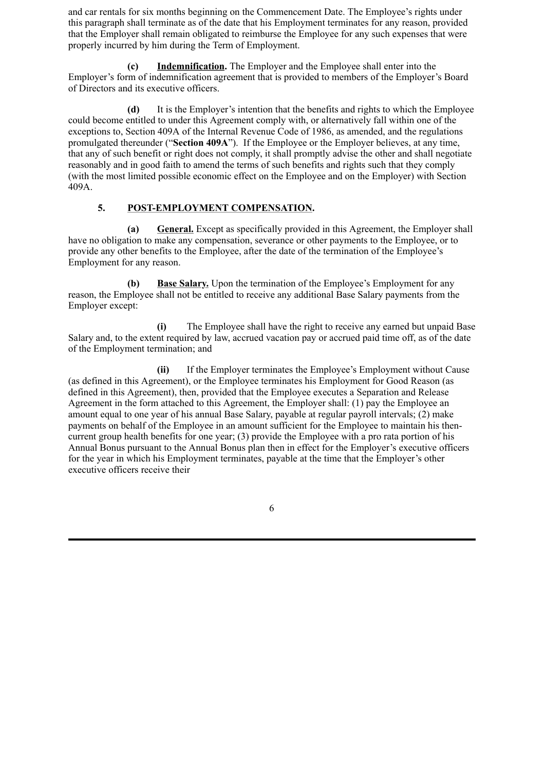and car rentals for six months beginning on the Commencement Date. The Employee's rights under this paragraph shall terminate as of the date that his Employment terminates for any reason, provided that the Employer shall remain obligated to reimburse the Employee for any such expenses that were properly incurred by him during the Term of Employment.

**(c) Indemnification.** The Employer and the Employee shall enter into the Employer's form of indemnification agreement that is provided to members of the Employer's Board of Directors and its executive officers.

**(d)** It is the Employer's intention that the benefits and rights to which the Employee could become entitled to under this Agreement comply with, or alternatively fall within one of the exceptions to, Section 409A of the Internal Revenue Code of 1986, as amended, and the regulations promulgated thereunder ("**Section 409A**"). If the Employee or the Employer believes, at any time, that any of such benefit or right does not comply, it shall promptly advise the other and shall negotiate reasonably and in good faith to amend the terms of such benefits and rights such that they comply (with the most limited possible economic effect on the Employee and on the Employer) with Section 409A.

# **5. POST-EMPLOYMENT COMPENSATION.**

**(a) General.** Except as specifically provided in this Agreement, the Employer shall have no obligation to make any compensation, severance or other payments to the Employee, or to provide any other benefits to the Employee, after the date of the termination of the Employee's Employment for any reason.

**(b) Base Salary.** Upon the termination of the Employee's Employment for any reason, the Employee shall not be entitled to receive any additional Base Salary payments from the Employer except:

**(i)** The Employee shall have the right to receive any earned but unpaid Base Salary and, to the extent required by law, accrued vacation pay or accrued paid time off, as of the date of the Employment termination; and

**(ii)** If the Employer terminates the Employee's Employment without Cause (as defined in this Agreement), or the Employee terminates his Employment for Good Reason (as defined in this Agreement), then, provided that the Employee executes a Separation and Release Agreement in the form attached to this Agreement, the Employer shall: (1) pay the Employee an amount equal to one year of his annual Base Salary, payable at regular payroll intervals; (2) make payments on behalf of the Employee in an amount sufficient for the Employee to maintain his thencurrent group health benefits for one year; (3) provide the Employee with a pro rata portion of his Annual Bonus pursuant to the Annual Bonus plan then in effect for the Employer's executive officers for the year in which his Employment terminates, payable at the time that the Employer's other executive officers receive their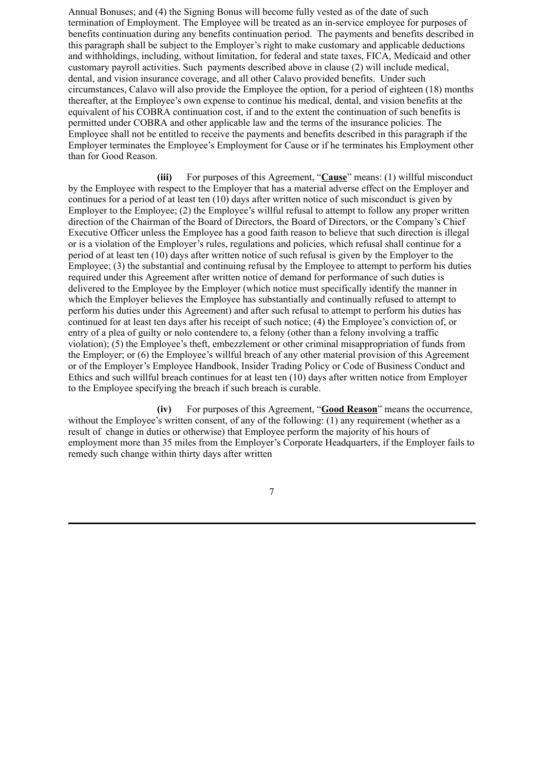Annual Bonuses; and (4) the Signing Bonus will become fully vested as of the date of such termination of Employment. The Employee will be treated as an in-service employee for purposes of benefits continuation during any benefits continuation period. The payments and benefits described in this paragraph shall be subject to the Employer's right to make customary and applicable deductions and withholdings, including, without limitation, for federal and state taxes, FICA, Medicaid and other customary payroll activities. Such payments described above in clause (2) will include medical, dental, and vision insurance coverage, and all other Calavo provided benefits. Under such circumstances, Calavo will also provide the Employee the option, for a period of eighteen (18) months thereafter, at the Employee's own expense to continue his medical, dental, and vision benefits at the equivalent of his COBRA continuation cost, if and to the extent the continuation of such benefits is permitted under COBRA and other applicable law and the terms of the insurance policies. The Employee shall not be entitled to receive the payments and benefits described in this paragraph if the Employer terminates the Employee's Employment for Cause or if he terminates his Employment other than for Good Reason.

**(iii)** For purposes of this Agreement, "**Cause**" means: (1) willful misconduct by the Employee with respect to the Employer that has a material adverse effect on the Employer and continues for a period of at least ten (10) days after written notice of such misconduct is given by Employer to the Employee; (2) the Employee's willful refusal to attempt to follow any proper written direction of the Chairman of the Board of Directors, the Board of Directors, or the Company's Chief Executive Officer unless the Employee has a good faith reason to believe that such direction is illegal or is a violation of the Employer's rules, regulations and policies, which refusal shall continue for a period of at least ten (10) days after written notice of such refusal is given by the Employer to the Employee; (3) the substantial and continuing refusal by the Employee to attempt to perform his duties required under this Agreement after written notice of demand for performance of such duties is delivered to the Employee by the Employer (which notice must specifically identify the manner in which the Employer believes the Employee has substantially and continually refused to attempt to perform his duties under this Agreement) and after such refusal to attempt to perform his duties has continued for at least ten days after his receipt of such notice; (4) the Employee's conviction of, or entry of a plea of guilty or nolo contendere to, a felony (other than a felony involving a traffic violation); (5) the Employee's theft, embezzlement or other criminal misappropriation of funds from the Employer; or (6) the Employee's willful breach of any other material provision of this Agreement or of the Employer's Employee Handbook, Insider Trading Policy or Code of Business Conduct and Ethics and such willful breach continues for at least ten (10) days after written notice from Employer to the Employee specifying the breach if such breach is curable.

**(iv)** For purposes of this Agreement, "**Good Reason**" means the occurrence, without the Employee's written consent, of any of the following: (1) any requirement (whether as a result of change in duties or otherwise) that Employee perform the majority of his hours of employment more than 35 miles from the Employer's Corporate Headquarters, if the Employer fails to remedy such change within thirty days after written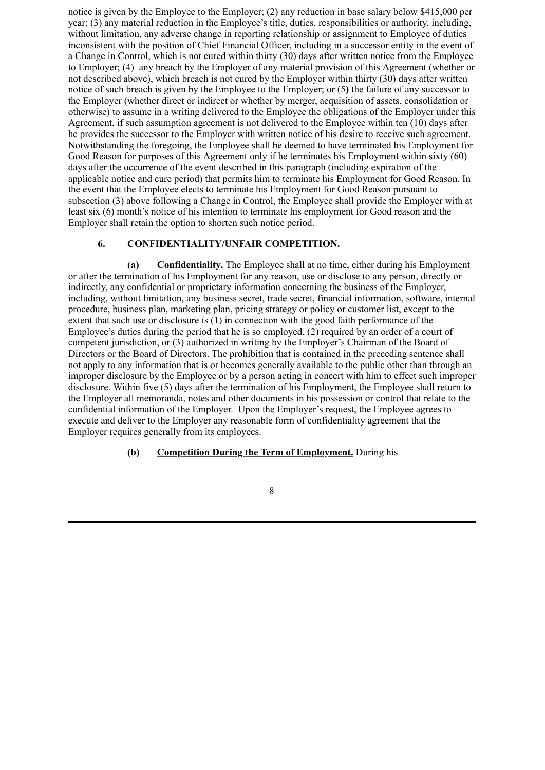notice is given by the Employee to the Employer; (2) any reduction in base salary below \$415,000 per year; (3) any material reduction in the Employee's title, duties, responsibilities or authority, including, without limitation, any adverse change in reporting relationship or assignment to Employee of duties inconsistent with the position of Chief Financial Officer, including in a successor entity in the event of a Change in Control, which is not cured within thirty (30) days after written notice from the Employee to Employer; (4) any breach by the Employer of any material provision of this Agreement (whether or not described above), which breach is not cured by the Employer within thirty (30) days after written notice of such breach is given by the Employee to the Employer; or (5**)** the failure of any successor to the Employer (whether direct or indirect or whether by merger, acquisition of assets, consolidation or otherwise) to assume in a writing delivered to the Employee the obligations of the Employer under this Agreement, if such assumption agreement is not delivered to the Employee within ten (10) days after he provides the successor to the Employer with written notice of his desire to receive such agreement. Notwithstanding the foregoing, the Employee shall be deemed to have terminated his Employment for Good Reason for purposes of this Agreement only if he terminates his Employment within sixty (60) days after the occurrence of the event described in this paragraph (including expiration of the applicable notice and cure period) that permits him to terminate his Employment for Good Reason. In the event that the Employee elects to terminate his Employment for Good Reason pursuant to subsection (3) above following a Change in Control, the Employee shall provide the Employer with at least six (6) month's notice of his intention to terminate his employment for Good reason and the Employer shall retain the option to shorten such notice period.

## **6. CONFIDENTIALITY/UNFAIR COMPETITION.**

**(a) Confidentiality.** The Employee shall at no time, either during his Employment or after the termination of his Employment for any reason, use or disclose to any person, directly or indirectly, any confidential or proprietary information concerning the business of the Employer, including, without limitation, any business secret, trade secret, financial information, software, internal procedure, business plan, marketing plan, pricing strategy or policy or customer list, except to the extent that such use or disclosure is (1) in connection with the good faith performance of the Employee's duties during the period that he is so employed, (2) required by an order of a court of competent jurisdiction, or (3) authorized in writing by the Employer's Chairman of the Board of Directors or the Board of Directors. The prohibition that is contained in the preceding sentence shall not apply to any information that is or becomes generally available to the public other than through an improper disclosure by the Employee or by a person acting in concert with him to effect such improper disclosure. Within five (5) days after the termination of his Employment, the Employee shall return to the Employer all memoranda, notes and other documents in his possession or control that relate to the confidential information of the Employer. Upon the Employer's request, the Employee agrees to execute and deliver to the Employer any reasonable form of confidentiality agreement that the Employer requires generally from its employees.

# **(b) Competition During the Term of Employment.** During his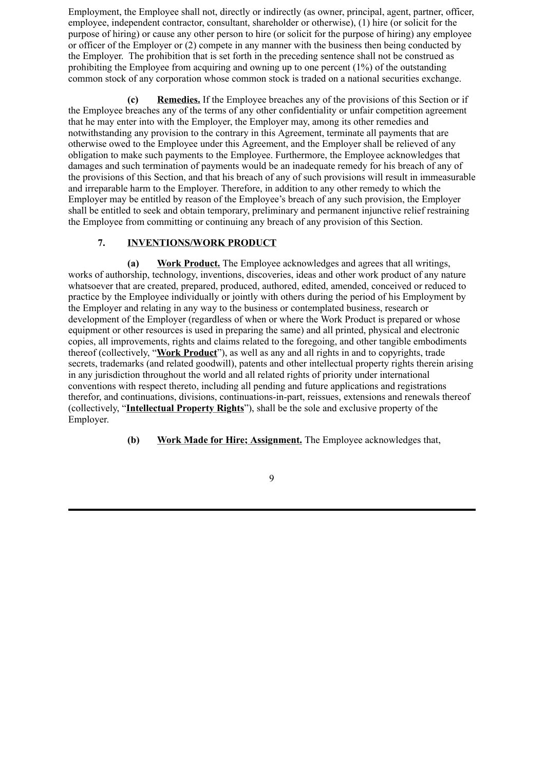Employment, the Employee shall not, directly or indirectly (as owner, principal, agent, partner, officer, employee, independent contractor, consultant, shareholder or otherwise), (1) hire (or solicit for the purpose of hiring) or cause any other person to hire (or solicit for the purpose of hiring) any employee or officer of the Employer or (2) compete in any manner with the business then being conducted by the Employer. The prohibition that is set forth in the preceding sentence shall not be construed as prohibiting the Employee from acquiring and owning up to one percent (1%) of the outstanding common stock of any corporation whose common stock is traded on a national securities exchange.

**(c) Remedies.** If the Employee breaches any of the provisions of this Section or if the Employee breaches any of the terms of any other confidentiality or unfair competition agreement that he may enter into with the Employer, the Employer may, among its other remedies and notwithstanding any provision to the contrary in this Agreement, terminate all payments that are otherwise owed to the Employee under this Agreement, and the Employer shall be relieved of any obligation to make such payments to the Employee. Furthermore, the Employee acknowledges that damages and such termination of payments would be an inadequate remedy for his breach of any of the provisions of this Section, and that his breach of any of such provisions will result in immeasurable and irreparable harm to the Employer. Therefore, in addition to any other remedy to which the Employer may be entitled by reason of the Employee's breach of any such provision, the Employer shall be entitled to seek and obtain temporary, preliminary and permanent injunctive relief restraining the Employee from committing or continuing any breach of any provision of this Section.

# **7. INVENTIONS/WORK PRODUCT**

**(a) Work Product.** The Employee acknowledges and agrees that all writings, works of authorship, technology, inventions, discoveries, ideas and other work product of any nature whatsoever that are created, prepared, produced, authored, edited, amended, conceived or reduced to practice by the Employee individually or jointly with others during the period of his Employment by the Employer and relating in any way to the business or contemplated business, research or development of the Employer (regardless of when or where the Work Product is prepared or whose equipment or other resources is used in preparing the same) and all printed, physical and electronic copies, all improvements, rights and claims related to the foregoing, and other tangible embodiments thereof (collectively, "**Work Product**"), as well as any and all rights in and to copyrights, trade secrets, trademarks (and related goodwill), patents and other intellectual property rights therein arising in any jurisdiction throughout the world and all related rights of priority under international conventions with respect thereto, including all pending and future applications and registrations therefor, and continuations, divisions, continuations-in-part, reissues, extensions and renewals thereof (collectively, "**Intellectual Property Rights**"), shall be the sole and exclusive property of the Employer.

**(b) Work Made for Hire; Assignment.** The Employee acknowledges that,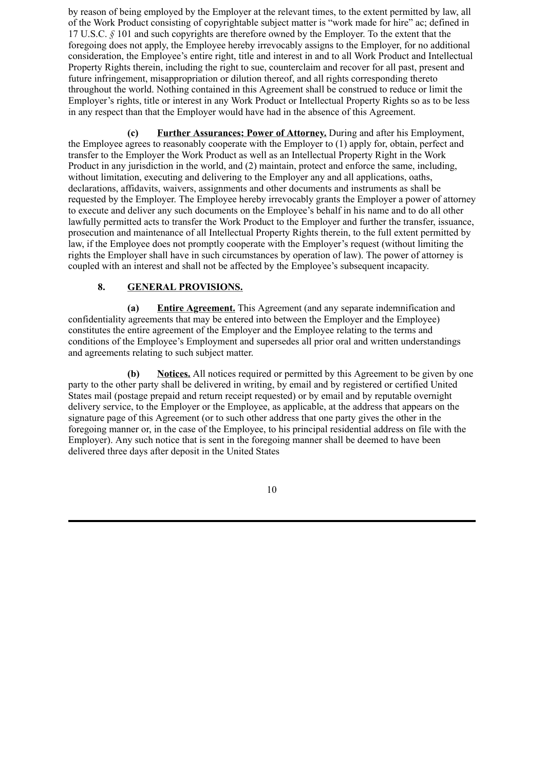by reason of being employed by the Employer at the relevant times, to the extent permitted by law, all of the Work Product consisting of copyrightable subject matter is "work made for hire" ac; defined in 17 U.S.C. *§* 101 and such copyrights are therefore owned by the Employer. To the extent that the foregoing does not apply, the Employee hereby irrevocably assigns to the Employer, for no additional consideration, the Employee's entire right, title and interest in and to all Work Product and Intellectual Property Rights therein, including the right to sue, counterclaim and recover for all past, present and future infringement, misappropriation or dilution thereof, and all rights corresponding thereto throughout the world. Nothing contained in this Agreement shall be construed to reduce or limit the Employer's rights, title or interest in any Work Product or Intellectual Property Rights so as to be less in any respect than that the Employer would have had in the absence of this Agreement.

**(c) Further Assurances; Power of Attorney.** During and after his Employment, the Employee agrees to reasonably cooperate with the Employer to (1) apply for, obtain, perfect and transfer to the Employer the Work Product as well as an Intellectual Property Right in the Work Product in any jurisdiction in the world, and (2) maintain, protect and enforce the same, including, without limitation, executing and delivering to the Employer any and all applications, oaths, declarations, affidavits, waivers, assignments and other documents and instruments as shall be requested by the Employer. The Employee hereby irrevocably grants the Employer a power of attorney to execute and deliver any such documents on the Employee's behalf in his name and to do all other lawfully permitted acts to transfer the Work Product to the Employer and further the transfer, issuance, prosecution and maintenance of all Intellectual Property Rights therein, to the full extent permitted by law, if the Employee does not promptly cooperate with the Employer's request (without limiting the rights the Employer shall have in such circumstances by operation of law). The power of attorney is coupled with an interest and shall not be affected by the Employee's subsequent incapacity.

# **8. GENERAL PROVISIONS.**

**(a) Entire Agreement.** This Agreement (and any separate indemnification and confidentiality agreements that may be entered into between the Employer and the Employee) constitutes the entire agreement of the Employer and the Employee relating to the terms and conditions of the Employee's Employment and supersedes all prior oral and written understandings and agreements relating to such subject matter.

**(b) Notices.** All notices required or permitted by this Agreement to be given by one party to the other party shall be delivered in writing, by email and by registered or certified United States mail (postage prepaid and return receipt requested) or by email and by reputable overnight delivery service, to the Employer or the Employee, as applicable, at the address that appears on the signature page of this Agreement (or to such other address that one party gives the other in the foregoing manner or, in the case of the Employee, to his principal residential address on file with the Employer). Any such notice that is sent in the foregoing manner shall be deemed to have been delivered three days after deposit in the United States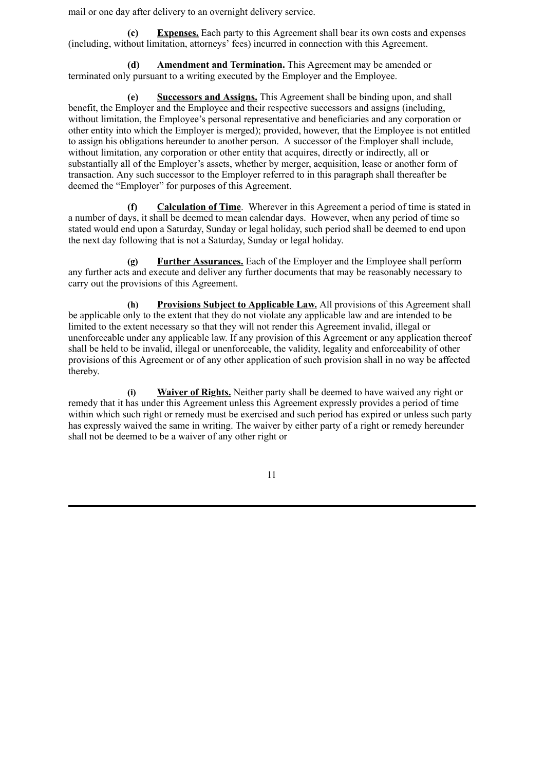mail or one day after delivery to an overnight delivery service.

**(c) Expenses.** Each party to this Agreement shall bear its own costs and expenses (including, without limitation, attorneys' fees) incurred in connection with this Agreement.

**(d) Amendment and Termination.** This Agreement may be amended or terminated only pursuant to a writing executed by the Employer and the Employee.

**(e) Successors and Assigns.** This Agreement shall be binding upon, and shall benefit, the Employer and the Employee and their respective successors and assigns (including, without limitation, the Employee's personal representative and beneficiaries and any corporation or other entity into which the Employer is merged); provided, however, that the Employee is not entitled to assign his obligations hereunder to another person. A successor of the Employer shall include, without limitation, any corporation or other entity that acquires, directly or indirectly, all or substantially all of the Employer's assets, whether by merger, acquisition, lease or another form of transaction. Any such successor to the Employer referred to in this paragraph shall thereafter be deemed the "Employer" for purposes of this Agreement.

**(f) Calculation of Time**. Wherever in this Agreement a period of time is stated in a number of days, it shall be deemed to mean calendar days. However, when any period of time so stated would end upon a Saturday, Sunday or legal holiday, such period shall be deemed to end upon the next day following that is not a Saturday, Sunday or legal holiday.

**(g) Further Assurances.** Each of the Employer and the Employee shall perform any further acts and execute and deliver any further documents that may be reasonably necessary to carry out the provisions of this Agreement.

**(h) Provisions Subject to Applicable Law.** All provisions of this Agreement shall be applicable only to the extent that they do not violate any applicable law and are intended to be limited to the extent necessary so that they will not render this Agreement invalid, illegal or unenforceable under any applicable law. If any provision of this Agreement or any application thereof shall be held to be invalid, illegal or unenforceable, the validity, legality and enforceability of other provisions of this Agreement or of any other application of such provision shall in no way be affected thereby.

**(i) Waiver of Rights.** Neither party shall be deemed to have waived any right or remedy that it has under this Agreement unless this Agreement expressly provides a period of time within which such right or remedy must be exercised and such period has expired or unless such party has expressly waived the same in writing. The waiver by either party of a right or remedy hereunder shall not be deemed to be a waiver of any other right or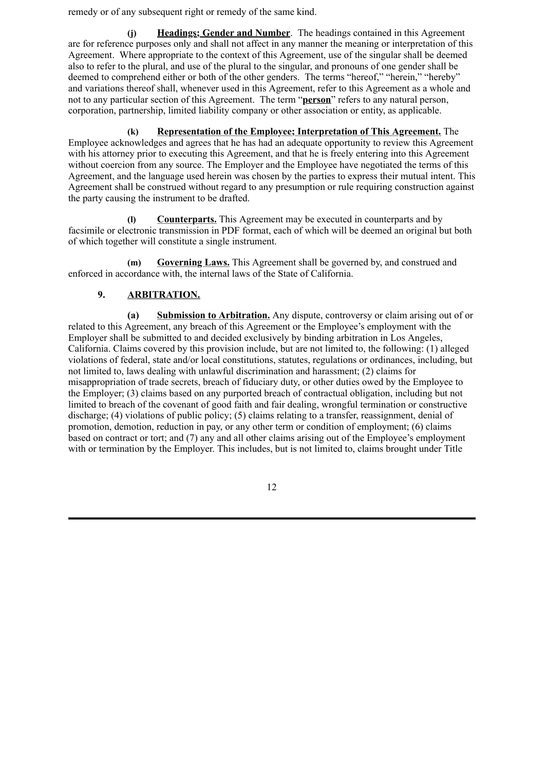remedy or of any subsequent right or remedy of the same kind.

**(j) Headings; Gender and Number**. The headings contained in this Agreement are for reference purposes only and shall not affect in any manner the meaning or interpretation of this Agreement. Where appropriate to the context of this Agreement, use of the singular shall be deemed also to refer to the plural, and use of the plural to the singular, and pronouns of one gender shall be deemed to comprehend either or both of the other genders. The terms "hereof," "herein," "hereby" and variations thereof shall, whenever used in this Agreement, refer to this Agreement as a whole and not to any particular section of this Agreement. The term "**person**" refers to any natural person, corporation, partnership, limited liability company or other association or entity, as applicable.

**(k) Representation of the Employee; Interpretation of This Agreement.** The Employee acknowledges and agrees that he has had an adequate opportunity to review this Agreement with his attorney prior to executing this Agreement, and that he is freely entering into this Agreement without coercion from any source. The Employer and the Employee have negotiated the terms of this Agreement, and the language used herein was chosen by the parties to express their mutual intent. This Agreement shall be construed without regard to any presumption or rule requiring construction against the party causing the instrument to be drafted.

**(l) Counterparts.** This Agreement may be executed in counterparts and by facsimile or electronic transmission in PDF format, each of which will be deemed an original but both of which together will constitute a single instrument.

**(m) Governing Laws.** This Agreement shall be governed by, and construed and enforced in accordance with, the internal laws of the State of California.

# **9. ARBITRATION.**

**(a) Submission to Arbitration.** Any dispute, controversy or claim arising out of or related to this Agreement, any breach of this Agreement or the Employee's employment with the Employer shall be submitted to and decided exclusively by binding arbitration in Los Angeles, California. Claims covered by this provision include, but are not limited to, the following: (1) alleged violations of federal, state and/or local constitutions, statutes, regulations or ordinances, including, but not limited to, laws dealing with unlawful discrimination and harassment; (2) claims for misappropriation of trade secrets, breach of fiduciary duty, or other duties owed by the Employee to the Employer; (3) claims based on any purported breach of contractual obligation, including but not limited to breach of the covenant of good faith and fair dealing, wrongful termination or constructive discharge; (4) violations of public policy; (5) claims relating to a transfer, reassignment, denial of promotion, demotion, reduction in pay, or any other term or condition of employment; (6) claims based on contract or tort; and (7) any and all other claims arising out of the Employee's employment with or termination by the Employer. This includes, but is not limited to, claims brought under Title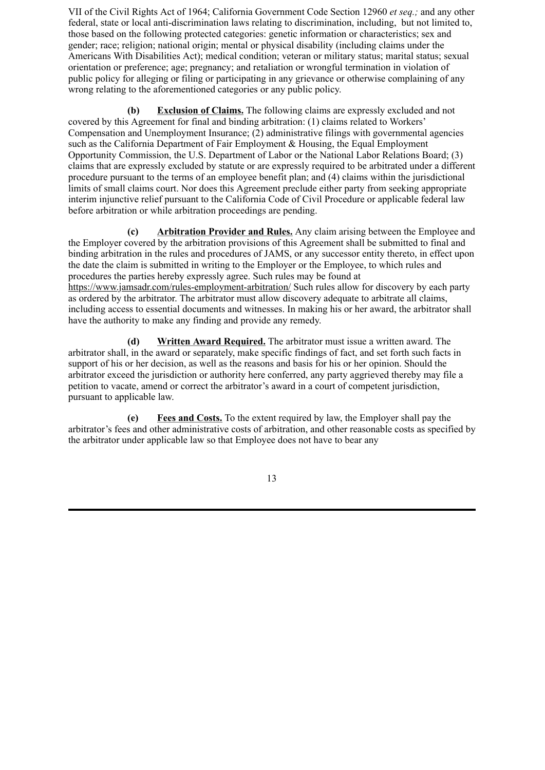VII of the Civil Rights Act of 1964; California Government Code Section 12960 *et seq.;* and any other federal, state or local anti-discrimination laws relating to discrimination, including, but not limited to, those based on the following protected categories: genetic information or characteristics; sex and gender; race; religion; national origin; mental or physical disability (including claims under the Americans With Disabilities Act); medical condition; veteran or military status; marital status; sexual orientation or preference; age; pregnancy; and retaliation or wrongful termination in violation of public policy for alleging or filing or participating in any grievance or otherwise complaining of any wrong relating to the aforementioned categories or any public policy.

**(b) Exclusion of Claims.** The following claims are expressly excluded and not covered by this Agreement for final and binding arbitration: (1) claims related to Workers' Compensation and Unemployment Insurance; (2) administrative filings with governmental agencies such as the California Department of Fair Employment & Housing, the Equal Employment Opportunity Commission, the U.S. Department of Labor or the National Labor Relations Board; (3) claims that are expressly excluded by statute or are expressly required to be arbitrated under a different procedure pursuant to the terms of an employee benefit plan; and (4) claims within the jurisdictional limits of small claims court. Nor does this Agreement preclude either party from seeking appropriate interim injunctive relief pursuant to the California Code of Civil Procedure or applicable federal law before arbitration or while arbitration proceedings are pending.

**(c) Arbitration Provider and Rules.** Any claim arising between the Employee and the Employer covered by the arbitration provisions of this Agreement shall be submitted to final and binding arbitration in the rules and procedures of JAMS, or any successor entity thereto, in effect upon the date the claim is submitted in writing to the Employer or the Employee, to which rules and procedures the parties hereby expressly agree. Such rules may be found at https://www.jamsadr.com/rules-employment-arbitration/ Such rules allow for discovery by each party as ordered by the arbitrator. The arbitrator must allow discovery adequate to arbitrate all claims, including access to essential documents and witnesses. In making his or her award, the arbitrator shall have the authority to make any finding and provide any remedy.

**(d) Written Award Required.** The arbitrator must issue a written award. The arbitrator shall, in the award or separately, make specific findings of fact, and set forth such facts in support of his or her decision, as well as the reasons and basis for his or her opinion. Should the arbitrator exceed the jurisdiction or authority here conferred, any party aggrieved thereby may file a petition to vacate, amend or correct the arbitrator's award in a court of competent jurisdiction, pursuant to applicable law.

**(e) Fees and Costs.** To the extent required by law, the Employer shall pay the arbitrator's fees and other administrative costs of arbitration, and other reasonable costs as specified by the arbitrator under applicable law so that Employee does not have to bear any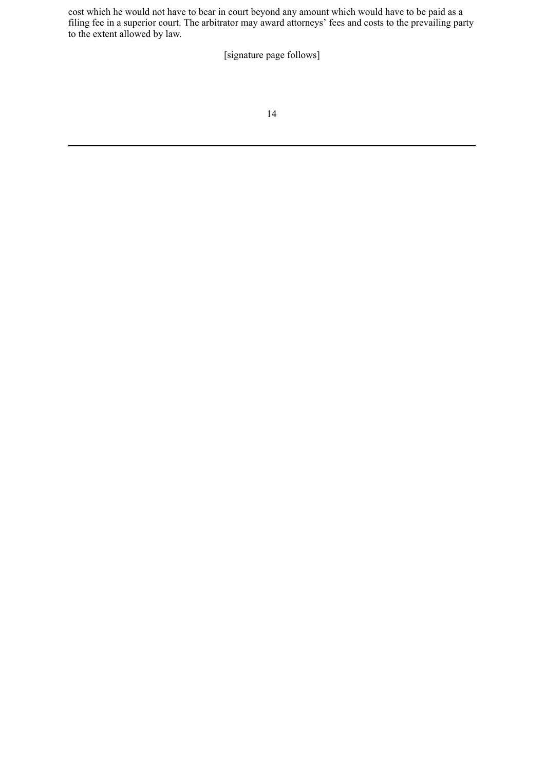cost which he would not have to bear in court beyond any amount which would have to be paid as a filing fee in a superior court. The arbitrator may award attorneys' fees and costs to the prevailing party to the extent allowed by law.

[signature page follows]